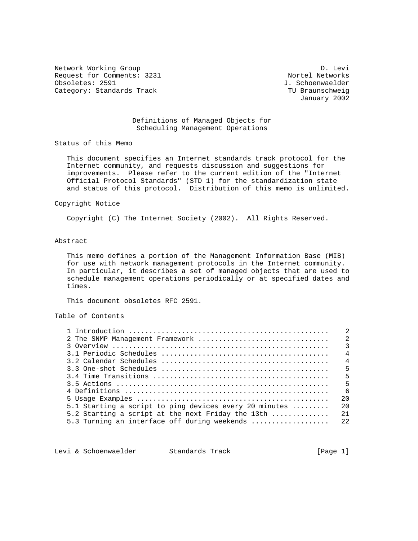Network Working Group Devil and the United States of D. Levi Request for Comments: 3231 Nortel Networks<br>  $\sigma$  Obsoletes: 2591 J. Schoenwaelder Category: Standards Track Ture of the Category: Standards Track TU Braunschweig

J. Schoenwaelder January 2002

## Definitions of Managed Objects for Scheduling Management Operations

Status of this Memo

 This document specifies an Internet standards track protocol for the Internet community, and requests discussion and suggestions for improvements. Please refer to the current edition of the "Internet Official Protocol Standards" (STD 1) for the standardization state and status of this protocol. Distribution of this memo is unlimited.

#### Copyright Notice

Copyright (C) The Internet Society (2002). All Rights Reserved.

## Abstract

 This memo defines a portion of the Management Information Base (MIB) for use with network management protocols in the Internet community. In particular, it describes a set of managed objects that are used to schedule management operations periodically or at specified dates and times.

This document obsoletes RFC 2591.

# Table of Contents

| 2 The SNMP Management Framework                                          | $\mathfrak{D}$  |
|--------------------------------------------------------------------------|-----------------|
|                                                                          | $\mathcal{R}$   |
|                                                                          | $\overline{4}$  |
|                                                                          | $\overline{4}$  |
|                                                                          | - 5             |
|                                                                          | $5\overline{5}$ |
|                                                                          | 5               |
|                                                                          | - 6             |
|                                                                          | 2.0             |
| 5.1 Starting a script to ping devices every 20 minutes $\dots\dots\dots$ | 2.0             |
| 5.2 Starting a script at the next Friday the 13th                        | 2.1             |
| 5.3 Turning an interface off during weekends                             | 2.2             |
|                                                                          |                 |

Levi & Schoenwaelder Standards Track [Page 1]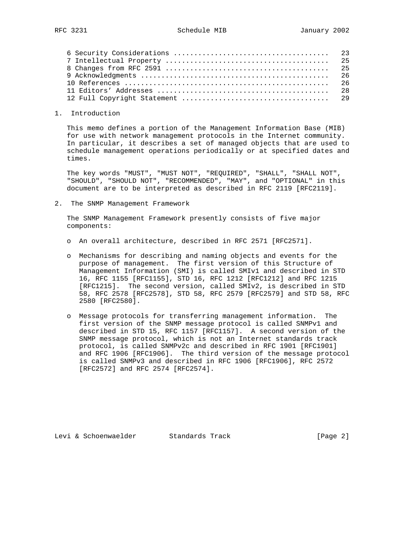#### 1. Introduction

 This memo defines a portion of the Management Information Base (MIB) for use with network management protocols in the Internet community. In particular, it describes a set of managed objects that are used to schedule management operations periodically or at specified dates and times.

 The key words "MUST", "MUST NOT", "REQUIRED", "SHALL", "SHALL NOT", "SHOULD", "SHOULD NOT", "RECOMMENDED", "MAY", and "OPTIONAL" in this document are to be interpreted as described in RFC 2119 [RFC2119].

2. The SNMP Management Framework

 The SNMP Management Framework presently consists of five major components:

- o An overall architecture, described in RFC 2571 [RFC2571].
- o Mechanisms for describing and naming objects and events for the purpose of management. The first version of this Structure of Management Information (SMI) is called SMIv1 and described in STD 16, RFC 1155 [RFC1155], STD 16, RFC 1212 [RFC1212] and RFC 1215 [RFC1215]. The second version, called SMIv2, is described in STD 58, RFC 2578 [RFC2578], STD 58, RFC 2579 [RFC2579] and STD 58, RFC 2580 [RFC2580].
- o Message protocols for transferring management information. The first version of the SNMP message protocol is called SNMPv1 and described in STD 15, RFC 1157 [RFC1157]. A second version of the SNMP message protocol, which is not an Internet standards track protocol, is called SNMPv2c and described in RFC 1901 [RFC1901] and RFC 1906 [RFC1906]. The third version of the message protocol is called SNMPv3 and described in RFC 1906 [RFC1906], RFC 2572 [RFC2572] and RFC 2574 [RFC2574].

Levi & Schoenwaelder Standards Track [Page 2]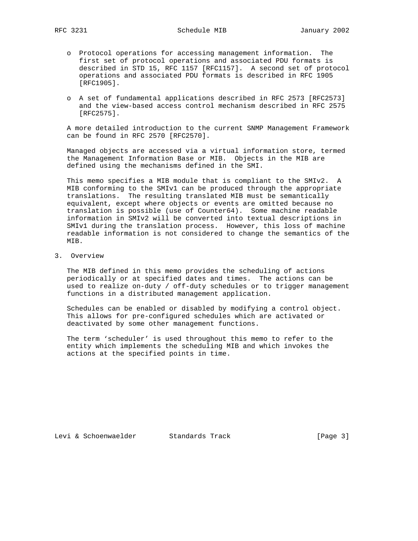- o Protocol operations for accessing management information. The first set of protocol operations and associated PDU formats is described in STD 15, RFC 1157 [RFC1157]. A second set of protocol operations and associated PDU formats is described in RFC 1905 [RFC1905].
- o A set of fundamental applications described in RFC 2573 [RFC2573] and the view-based access control mechanism described in RFC 2575 [RFC2575].

 A more detailed introduction to the current SNMP Management Framework can be found in RFC 2570 [RFC2570].

 Managed objects are accessed via a virtual information store, termed the Management Information Base or MIB. Objects in the MIB are defined using the mechanisms defined in the SMI.

 This memo specifies a MIB module that is compliant to the SMIv2. A MIB conforming to the SMIv1 can be produced through the appropriate translations. The resulting translated MIB must be semantically equivalent, except where objects or events are omitted because no translation is possible (use of Counter64). Some machine readable information in SMIv2 will be converted into textual descriptions in SMIv1 during the translation process. However, this loss of machine readable information is not considered to change the semantics of the MIB.

3. Overview

 The MIB defined in this memo provides the scheduling of actions periodically or at specified dates and times. The actions can be used to realize on-duty / off-duty schedules or to trigger management functions in a distributed management application.

 Schedules can be enabled or disabled by modifying a control object. This allows for pre-configured schedules which are activated or deactivated by some other management functions.

 The term 'scheduler' is used throughout this memo to refer to the entity which implements the scheduling MIB and which invokes the actions at the specified points in time.

Levi & Schoenwaelder Standards Track [Page 3]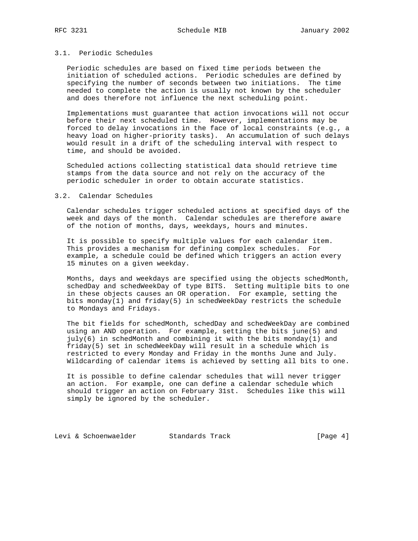## 3.1. Periodic Schedules

 Periodic schedules are based on fixed time periods between the initiation of scheduled actions. Periodic schedules are defined by specifying the number of seconds between two initiations. The time needed to complete the action is usually not known by the scheduler and does therefore not influence the next scheduling point.

 Implementations must guarantee that action invocations will not occur before their next scheduled time. However, implementations may be forced to delay invocations in the face of local constraints (e.g., a heavy load on higher-priority tasks). An accumulation of such delays would result in a drift of the scheduling interval with respect to time, and should be avoided.

 Scheduled actions collecting statistical data should retrieve time stamps from the data source and not rely on the accuracy of the periodic scheduler in order to obtain accurate statistics.

#### 3.2. Calendar Schedules

 Calendar schedules trigger scheduled actions at specified days of the week and days of the month. Calendar schedules are therefore aware of the notion of months, days, weekdays, hours and minutes.

 It is possible to specify multiple values for each calendar item. This provides a mechanism for defining complex schedules. For example, a schedule could be defined which triggers an action every 15 minutes on a given weekday.

 Months, days and weekdays are specified using the objects schedMonth, schedDay and schedWeekDay of type BITS. Setting multiple bits to one in these objects causes an OR operation. For example, setting the bits monday(1) and friday(5) in schedWeekDay restricts the schedule to Mondays and Fridays.

 The bit fields for schedMonth, schedDay and schedWeekDay are combined using an AND operation. For example, setting the bits june(5) and  $july(6)$  in schedMonth and combining it with the bits monday(1) and friday(5) set in schedWeekDay will result in a schedule which is restricted to every Monday and Friday in the months June and July. Wildcarding of calendar items is achieved by setting all bits to one.

 It is possible to define calendar schedules that will never trigger an action. For example, one can define a calendar schedule which should trigger an action on February 31st. Schedules like this will simply be ignored by the scheduler.

Levi & Schoenwaelder Standards Track [Page 4]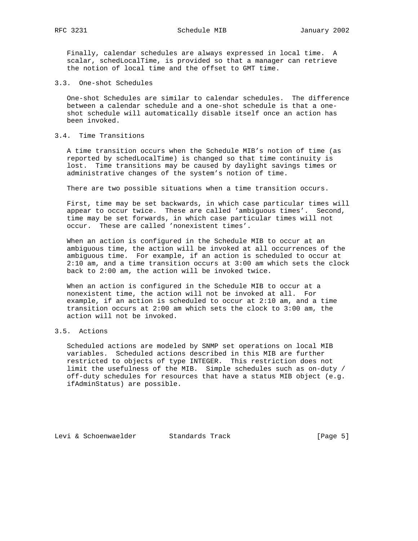Finally, calendar schedules are always expressed in local time. A scalar, schedLocalTime, is provided so that a manager can retrieve the notion of local time and the offset to GMT time.

3.3. One-shot Schedules

 One-shot Schedules are similar to calendar schedules. The difference between a calendar schedule and a one-shot schedule is that a one shot schedule will automatically disable itself once an action has been invoked.

# 3.4. Time Transitions

 A time transition occurs when the Schedule MIB's notion of time (as reported by schedLocalTime) is changed so that time continuity is lost. Time transitions may be caused by daylight savings times or administrative changes of the system's notion of time.

There are two possible situations when a time transition occurs.

 First, time may be set backwards, in which case particular times will appear to occur twice. These are called 'ambiguous times'. Second, time may be set forwards, in which case particular times will not occur. These are called 'nonexistent times'.

 When an action is configured in the Schedule MIB to occur at an ambiguous time, the action will be invoked at all occurrences of the ambiguous time. For example, if an action is scheduled to occur at 2:10 am, and a time transition occurs at 3:00 am which sets the clock back to 2:00 am, the action will be invoked twice.

 When an action is configured in the Schedule MIB to occur at a nonexistent time, the action will not be invoked at all. For example, if an action is scheduled to occur at 2:10 am, and a time transition occurs at 2:00 am which sets the clock to 3:00 am, the action will not be invoked.

# 3.5. Actions

 Scheduled actions are modeled by SNMP set operations on local MIB variables. Scheduled actions described in this MIB are further restricted to objects of type INTEGER. This restriction does not limit the usefulness of the MIB. Simple schedules such as on-duty / off-duty schedules for resources that have a status MIB object (e.g. ifAdminStatus) are possible.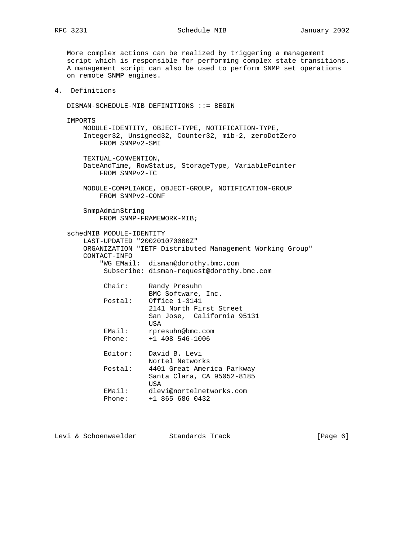# RFC 3231 Schedule MIB January 2002

 More complex actions can be realized by triggering a management script which is responsible for performing complex state transitions. A management script can also be used to perform SNMP set operations on remote SNMP engines.

# 4. Definitions

DISMAN-SCHEDULE-MIB DEFINITIONS ::= BEGIN

 IMPORTS MODULE-IDENTITY, OBJECT-TYPE, NOTIFICATION-TYPE, Integer32, Unsigned32, Counter32, mib-2, zeroDotZero FROM SNMPv2-SMI TEXTUAL-CONVENTION, DateAndTime, RowStatus, StorageType, VariablePointer FROM SNMPv2-TC MODULE-COMPLIANCE, OBJECT-GROUP, NOTIFICATION-GROUP FROM SNMPv2-CONF SnmpAdminString FROM SNMP-FRAMEWORK-MIB; schedMIB MODULE-IDENTITY LAST-UPDATED "200201070000Z" ORGANIZATION "IETF Distributed Management Working Group" CONTACT-INFO "WG EMail: disman@dorothy.bmc.com Subscribe: disman-request@dorothy.bmc.com Chair: Randy Presuhn BMC Software, Inc. Postal: Office 1-3141 2141 North First Street San Jose, California 95131 USA

 EMail: rpresuhn@bmc.com Phone: +1 408 546-1006

| Editor:          | David B. Levi<br>Nortel Networks                                        |
|------------------|-------------------------------------------------------------------------|
| Postal:          | 4401 Great America Parkway<br>Santa Clara, CA 95052-8185<br><b>TISA</b> |
| EMail:<br>Phone: | dlevi@nortelnetworks.com<br>$+1$ 865 686 0432                           |

Levi & Schoenwaelder Standards Track (Page 6)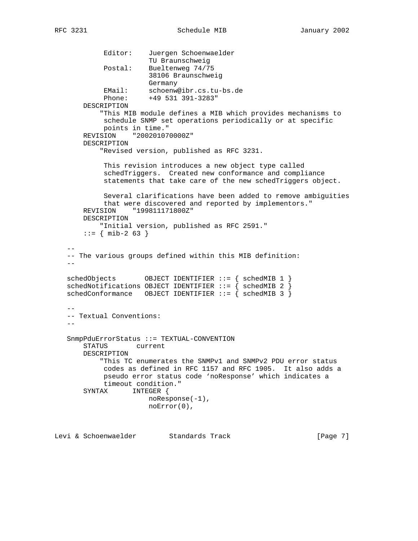```
 Editor: Juergen Schoenwaelder
                      TU Braunschweig
           Postal: Bueltenweg 74/75
                       38106 Braunschweig
                      Germany
 EMail: schoenw@ibr.cs.tu-bs.de
 Phone: +49 531 391-3283"
       DESCRIPTION
           "This MIB module defines a MIB which provides mechanisms to
           schedule SNMP set operations periodically or at specific
           points in time."
       REVISION "200201070000Z"
       DESCRIPTION
           "Revised version, published as RFC 3231.
            This revision introduces a new object type called
            schedTriggers. Created new conformance and compliance
            statements that take care of the new schedTriggers object.
            Several clarifications have been added to remove ambiguities
            that were discovered and reported by implementors."
       REVISION "199811171800Z"
       DESCRIPTION
           "Initial version, published as RFC 2591."
      ::= { mib-2 63 }
- -- The various groups defined within this MIB definition:
  - -schedObjects OBJECT IDENTIFIER ::= { schedMIB 1 }
  schedNotifications OBJECT IDENTIFIER ::= { schedMIB 2 }
  schedConformance OBJECT IDENTIFIER ::= \{ schedMIB 3 \} --
   -- Textual Conventions:
 --
   SnmpPduErrorStatus ::= TEXTUAL-CONVENTION
       STATUS current
       DESCRIPTION
           "This TC enumerates the SNMPv1 and SNMPv2 PDU error status
            codes as defined in RFC 1157 and RFC 1905. It also adds a
            pseudo error status code 'noResponse' which indicates a
           timeout condition."
       SYNTAX INTEGER {
                       noResponse(-1),
                       noError(0),
```
Levi & Schoenwaelder Standards Track [Page 7]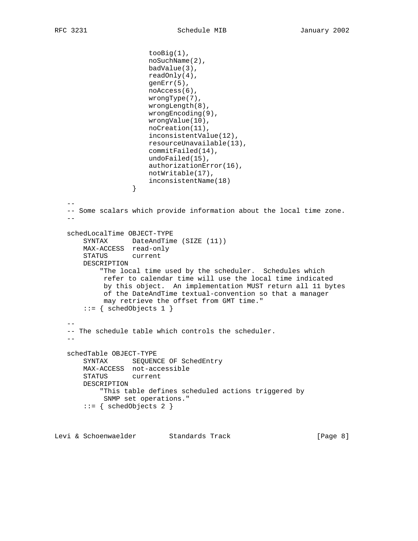```
 tooBig(1),
                       noSuchName(2),
                       badValue(3),
                       readOnly(4),
                       genErr(5),
                       noAccess(6),
                       wrongType(7),
                       wrongLength(8),
                       wrongEncoding(9),
                       wrongValue(10),
                       noCreation(11),
                       inconsistentValue(12),
                       resourceUnavailable(13),
                       commitFailed(14),
                       undoFailed(15),
                       authorizationError(16),
                       notWritable(17),
                  inconsistentName(18)<br>}
 }
- -- Some scalars which provide information about the local time zone.
  - schedLocalTime OBJECT-TYPE
       SYNTAX DateAndTime (SIZE (11))
       MAX-ACCESS read-only
       STATUS current
       DESCRIPTION
            "The local time used by the scheduler. Schedules which
            refer to calendar time will use the local time indicated
            by this object. An implementation MUST return all 11 bytes
            of the DateAndTime textual-convention so that a manager
            may retrieve the offset from GMT time."
       ::= { schedObjects 1 }
   --
   -- The schedule table which controls the scheduler.
- schedTable OBJECT-TYPE
       SYNTAX SEQUENCE OF SchedEntry
       MAX-ACCESS not-accessible
       STATUS current
       DESCRIPTION
            "This table defines scheduled actions triggered by
            SNMP set operations."
       ::= { schedObjects 2 }
```
Levi & Schoenwaelder Standards Track [Page 8]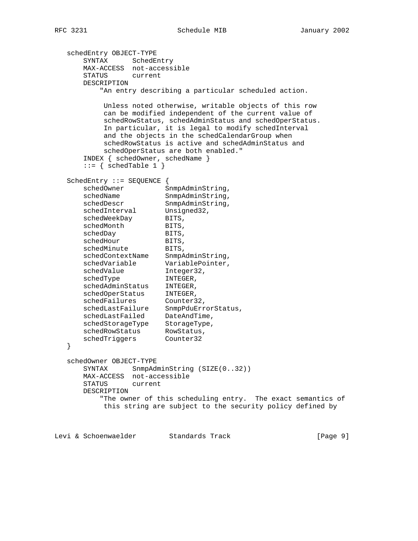```
 schedEntry OBJECT-TYPE
      SYNTAX SchedEntry
      MAX-ACCESS not-accessible
      STATUS current
      DESCRIPTION
          "An entry describing a particular scheduled action.
          Unless noted otherwise, writable objects of this row
           can be modified independent of the current value of
           schedRowStatus, schedAdminStatus and schedOperStatus.
           In particular, it is legal to modify schedInterval
           and the objects in the schedCalendarGroup when
           schedRowStatus is active and schedAdminStatus and
           schedOperStatus are both enabled."
       INDEX { schedOwner, schedName }
      ::= { schedTable 1 }
   SchedEntry ::= SEQUENCE {
schedOwner SnmpAdminString,
schedName SnmpAdminString,
schedDescr SnmpAdminString,
schedInterval Unsigned32,
schedWeekDay BITS,
schedMonth BITS,
schedDay BITS,
schedHour BITS,
schedMinute BITS,
 schedContextName SnmpAdminString,
 schedVariable VariablePointer,
schedValue Integer32,
schedType INTEGER,
 schedAdminStatus INTEGER,
 schedOperStatus INTEGER,
schedFailures Counter32,
 schedLastFailure SnmpPduErrorStatus,
 schedLastFailed DateAndTime,
 schedStorageType StorageType,
schedRowStatus RowStatus,
 schedTriggers Counter32
   }
   schedOwner OBJECT-TYPE
     SYNTAX SnmpAdminString (SIZE(0..32))
      MAX-ACCESS not-accessible
      STATUS current
      DESCRIPTION
          "The owner of this scheduling entry. The exact semantics of
          this string are subject to the security policy defined by
Levi & Schoenwaelder Standards Track [Page 9]
```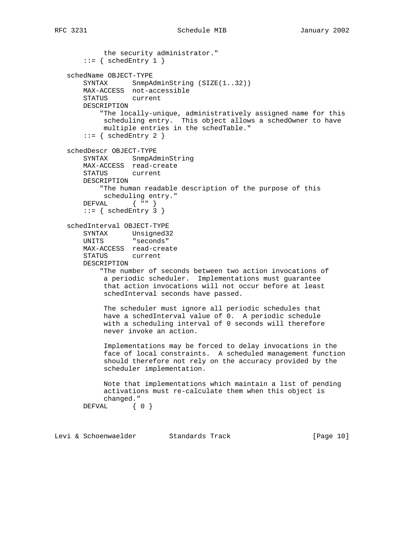the security administrator."  $::=$  { schedEntry 1 } schedName OBJECT-TYPE SYNTAX SnmpAdminString (SIZE(1..32)) MAX-ACCESS not-accessible STATUS current DESCRIPTION "The locally-unique, administratively assigned name for this scheduling entry. This object allows a schedOwner to have multiple entries in the schedTable."  $::=$  { schedEntry 2 } schedDescr OBJECT-TYPE SYNTAX SnmpAdminString MAX-ACCESS read-create STATUS current DESCRIPTION "The human readable description of the purpose of this scheduling entry." DEFVAL { "" }  $::=$  { schedEntry 3 } schedInterval OBJECT-TYPE SYNTAX Unsigned32 UNITS "seconds" MAX-ACCESS read-create STATUS current DESCRIPTION "The number of seconds between two action invocations of a periodic scheduler. Implementations must guarantee that action invocations will not occur before at least schedInterval seconds have passed. The scheduler must ignore all periodic schedules that have a schedInterval value of 0. A periodic schedule with a scheduling interval of 0 seconds will therefore never invoke an action. Implementations may be forced to delay invocations in the face of local constraints. A scheduled management function should therefore not rely on the accuracy provided by the scheduler implementation. Note that implementations which maintain a list of pending activations must re-calculate them when this object is changed." DEFVAL { 0 }

Levi & Schoenwaelder Standards Track [Page 10]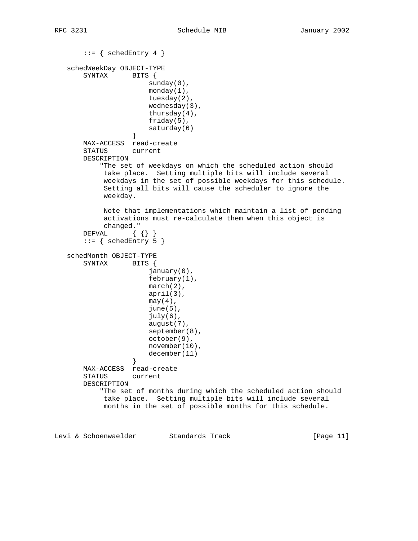```
::= { schedEntry 4 }
   schedWeekDay OBJECT-TYPE
       SYNTAX BITS {
                      sunday(0),
                       monday(1),
                       tuesday(2),
                       wednesday(3),
                       thursday(4),
                       friday(5),
                  saturday(6)<br>}
 }
       MAX-ACCESS read-create
       STATUS current
       DESCRIPTION
           "The set of weekdays on which the scheduled action should
            take place. Setting multiple bits will include several
            weekdays in the set of possible weekdays for this schedule.
            Setting all bits will cause the scheduler to ignore the
            weekday.
            Note that implementations which maintain a list of pending
            activations must re-calculate them when this object is
            changed."
      DEFVAL \{\}\}::= { schedEntry 5 }
   schedMonth OBJECT-TYPE
       SYNTAX BITS {
                       january(0),
                       february(1),
                       march(2),
                       april(3),
                      may(4),
                       june(5),
                       july(6),
                       august(7),
                       september(8),
                       october(9),
                       november(10),
                  december(11)<br>}
 }
       MAX-ACCESS read-create
       STATUS current
       DESCRIPTION
           "The set of months during which the scheduled action should
            take place. Setting multiple bits will include several
            months in the set of possible months for this schedule.
```
Levi & Schoenwaelder Standards Track [Page 11]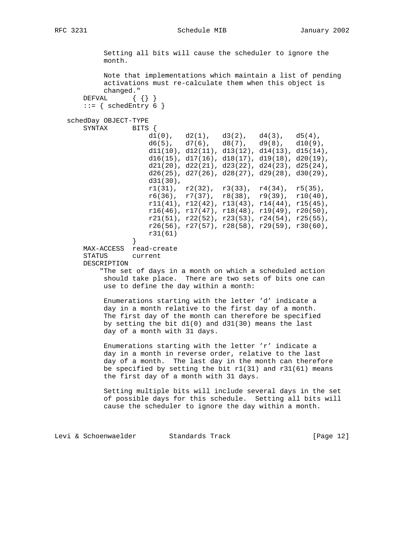#### RFC 3231 Schedule MIB 3231

 Setting all bits will cause the scheduler to ignore the month. Note that implementations which maintain a list of pending activations must re-calculate them when this object is changed." DEFVAL { { } }  $::=$  { schedEntry 6 } schedDay OBJECT-TYPE SYNTAX BITS { d1(0), d2(1), d3(2), d4(3), d5(4),<br>d6(5), d7(6), d8(7), d9(8), d10(9)  $d6(5)$ ,  $d7(6)$ ,  $d8(7)$ ,  $d9(8)$ ,  $d10(9)$ , d11(10), d12(11), d13(12), d14(13), d15(14), d16(15), d17(16), d18(17), d19(18), d20(19), d21(20), d22(21), d23(22), d24(23), d25(24), d26(25), d27(26), d28(27), d29(28), d30(29), d31(30),  $r1(31)$ ,  $r2(32)$ ,  $r3(33)$ ,  $r4(34)$ ,  $r5(35)$ ,  $r6(36)$ ,  $r7(37)$ ,  $r8(38)$ ,  $r9(39)$ ,  $r10(40)$ , r11(41), r12(42), r13(43), r14(44), r15(45), r16(46), r17(47), r18(48), r19(49), r20(50), r21(51), r22(52), r23(53), r24(54), r25(55), r26(56), r27(57), r28(58), r29(59), r30(60), r31(61) } MAX-ACCESS read-create STATUS current DESCRIPTION "The set of days in a month on which a scheduled action should take place. There are two sets of bits one can use to define the day within a month: Enumerations starting with the letter 'd' indicate a day in a month relative to the first day of a month. The first day of the month can therefore be specified by setting the bit d1(0) and d31(30) means the last day of a month with 31 days. Enumerations starting with the letter 'r' indicate a day in a month in reverse order, relative to the last day of a month. The last day in the month can therefore be specified by setting the bit r1(31) and r31(61) means the first day of a month with 31 days. Setting multiple bits will include several days in the set of possible days for this schedule. Setting all bits will cause the scheduler to ignore the day within a month.

Levi & Schoenwaelder Standards Track [Page 12]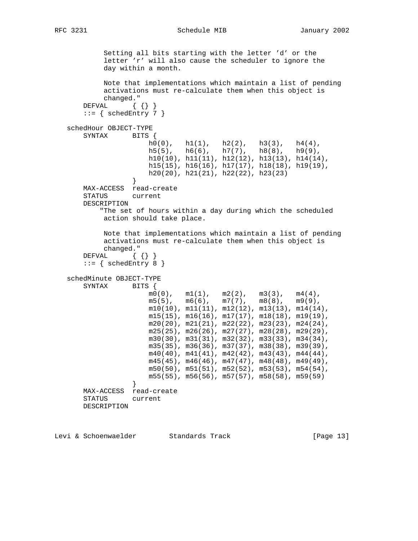RFC 3231 Schedule MIB 3231

```
 Setting all bits starting with the letter 'd' or the
            letter 'r' will also cause the scheduler to ignore the
            day within a month.
            Note that implementations which maintain a list of pending
            activations must re-calculate them when this object is
            changed."
      DEFVAL \{\{\}\}::= { schedEntry 7 }
   schedHour OBJECT-TYPE
       SYNTAX BITS {
                      \begin{array}{cccc} h0(0)\,, & h1(1)\,, & h2(2)\,, & h3(3)\,, & h4(4)\,, \\ h5(5)\,, & h6(6)\,, & h7(7)\,, & h8(8)\,, & h9(9)\,, \end{array}h5(5), h6(6), h7(7), h8(8), h9(9),
h10(10), h11(11), h12(12), h13(13), h14(14),
                       h15(15), h16(16), h17(17), h18(18), h19(19),
                       h20(20), h21(21), h22(22), h23(23)
 }
       MAX-ACCESS read-create
       STATUS current
       DESCRIPTION
           "The set of hours within a day during which the scheduled
            action should take place.
            Note that implementations which maintain a list of pending
            activations must re-calculate them when this object is
            changed."
      DEFVAL { { } }
      ::= { schedEntry 8 }
   schedMinute OBJECT-TYPE
      SYNTAX BITS {
                      m0(0), m1(1), m2(2), m3(3), m4(4),
                      m5(5), m6(6), m7(7), m8(8), m9(9),
                      m10(10), m11(11), m12(12), m13(13), m14(14),
                      m15(15), m16(16), m17(17), m18(18), m19(19),
                      m20(20), m21(21), m22(22), m23(23), m24(24),
                       m25(25), m26(26), m27(27), m28(28), m29(29),
                       m30(30), m31(31), m32(32), m33(33), m34(34),
                       m35(35), m36(36), m37(37), m38(38), m39(39),
                       m40(40), m41(41), m42(42), m43(43), m44(44),
                       m45(45), m46(46), m47(47), m48(48), m49(49),
                       m50(50), m51(51), m52(52), m53(53), m54(54),
                       m55(55), m56(56), m57(57), m58(58), m59(59)
 }
       MAX-ACCESS read-create
       STATUS current
       DESCRIPTION
```
Levi & Schoenwaelder Standards Track [Page 13]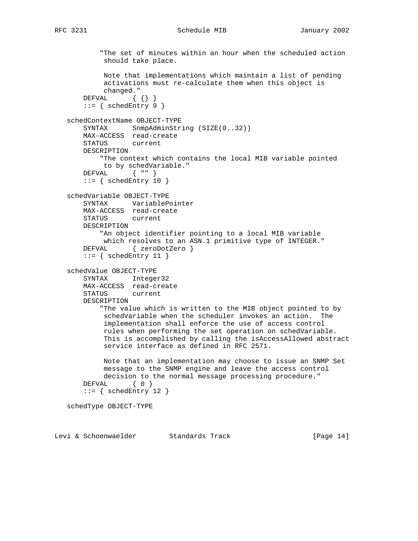# RFC 3231 Schedule MIB January 2002

```
 "The set of minutes within an hour when the scheduled action
         should take place.
         Note that implementations which maintain a list of pending
         activations must re-calculate them when this object is
         changed."
    DEFVAL { { } }
    ::= { schedEntry 9 }
 schedContextName OBJECT-TYPE
   SYNTAX SnmpAdminString (SIZE(0..32))
    MAX-ACCESS read-create
    STATUS current
    DESCRIPTION
         "The context which contains the local MIB variable pointed
         to by schedVariable."
    DEFVAL { "" }
    ::= { schedEntry 10 }
 schedVariable OBJECT-TYPE
    SYNTAX VariablePointer
    MAX-ACCESS read-create
    STATUS current
    DESCRIPTION
         "An object identifier pointing to a local MIB variable
        which resolves to an ASN.1 primitive type of INTEGER."
     DEFVAL { zeroDotZero }
     ::= { schedEntry 11 }
 schedValue OBJECT-TYPE
    SYNTAX Integer32
    MAX-ACCESS read-create
    STATUS current
    DESCRIPTION
         "The value which is written to the MIB object pointed to by
         schedVariable when the scheduler invokes an action. The
         implementation shall enforce the use of access control
         rules when performing the set operation on schedVariable.
         This is accomplished by calling the isAccessAllowed abstract
         service interface as defined in RFC 2571.
         Note that an implementation may choose to issue an SNMP Set
         message to the SNMP engine and leave the access control
         decision to the normal message processing procedure."
     DEFVAL { 0 }
    ::= { schedEntry 12 }
 schedType OBJECT-TYPE
```
Levi & Schoenwaelder Standards Track [Page 14]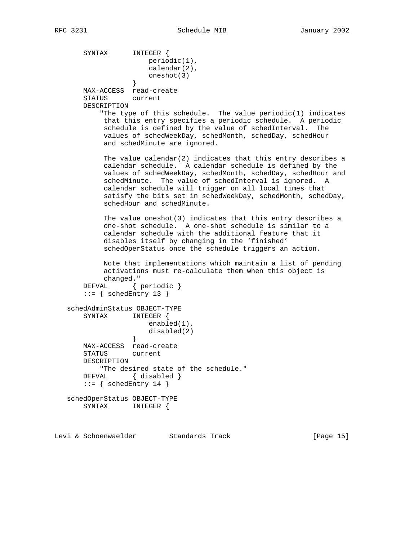```
 SYNTAX INTEGER {
                      periodic(1),
                      calendar(2),
                   oneshot(3)
 }
       MAX-ACCESS read-create
       STATUS current
       DESCRIPTION
           "The type of this schedule. The value periodic(1) indicates
           that this entry specifies a periodic schedule. A periodic
            schedule is defined by the value of schedInterval. The
            values of schedWeekDay, schedMonth, schedDay, schedHour
            and schedMinute are ignored.
           The value calendar(2) indicates that this entry describes a
            calendar schedule. A calendar schedule is defined by the
            values of schedWeekDay, schedMonth, schedDay, schedHour and
            schedMinute. The value of schedInterval is ignored. A
            calendar schedule will trigger on all local times that
            satisfy the bits set in schedWeekDay, schedMonth, schedDay,
            schedHour and schedMinute.
            The value oneshot(3) indicates that this entry describes a
            one-shot schedule. A one-shot schedule is similar to a
            calendar schedule with the additional feature that it
            disables itself by changing in the 'finished'
            schedOperStatus once the schedule triggers an action.
            Note that implementations which maintain a list of pending
            activations must re-calculate them when this object is
            changed."
      DEFVAL { periodic }
      ::= { schedEntry 13 }
   schedAdminStatus OBJECT-TYPE
       SYNTAX INTEGER {
                     enabled(1),
                  disabled(2)<br>}
 }
       MAX-ACCESS read-create
       STATUS current
       DESCRIPTION
           "The desired state of the schedule."
      DEFVAL { disabled }
      ::= { schedEntry 14 }
   schedOperStatus OBJECT-TYPE
       SYNTAX INTEGER {
```
Levi & Schoenwaelder Standards Track [Page 15]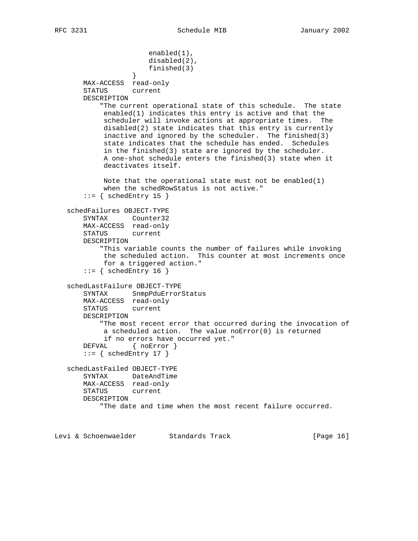```
 enabled(1),
                       disabled(2),
                       finished(3)
 }
       MAX-ACCESS read-only
       STATUS current
       DESCRIPTION
           "The current operational state of this schedule. The state
            enabled(1) indicates this entry is active and that the
            scheduler will invoke actions at appropriate times. The
            disabled(2) state indicates that this entry is currently
            inactive and ignored by the scheduler. The finished(3)
            state indicates that the schedule has ended. Schedules
            in the finished(3) state are ignored by the scheduler.
            A one-shot schedule enters the finished(3) state when it
            deactivates itself.
            Note that the operational state must not be enabled(1)
            when the schedRowStatus is not active."
      ::= { schedEntry 15 }
   schedFailures OBJECT-TYPE
       SYNTAX Counter32
       MAX-ACCESS read-only
       STATUS current
       DESCRIPTION
           "This variable counts the number of failures while invoking
            the scheduled action. This counter at most increments once
            for a triggered action."
      ::= { schedEntry 16 }
   schedLastFailure OBJECT-TYPE
       SYNTAX SnmpPduErrorStatus
       MAX-ACCESS read-only
       STATUS current
       DESCRIPTION
           "The most recent error that occurred during the invocation of
            a scheduled action. The value noError(0) is returned
            if no errors have occurred yet."
      DEFVAL { noError }
      ::= { schedEntry 17 }
   schedLastFailed OBJECT-TYPE
       SYNTAX DateAndTime
       MAX-ACCESS read-only
       STATUS current
       DESCRIPTION
           "The date and time when the most recent failure occurred.
```
Levi & Schoenwaelder Standards Track [Page 16]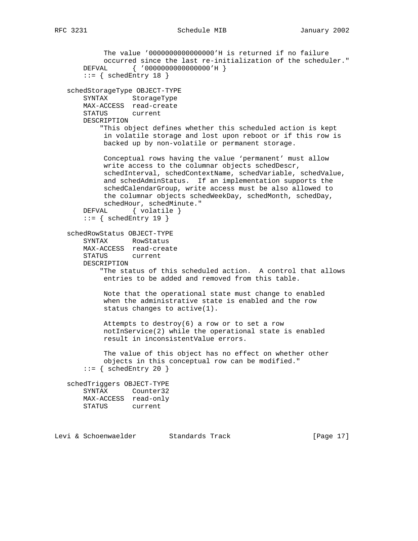```
 The value '0000000000000000'H is returned if no failure
            occurred since the last re-initialization of the scheduler."
       DEFVAL { '0000000000000000'H }
       ::= { schedEntry 18 }
   schedStorageType OBJECT-TYPE
       SYNTAX StorageType
       MAX-ACCESS read-create
       STATUS current
       DESCRIPTION
           "This object defines whether this scheduled action is kept
            in volatile storage and lost upon reboot or if this row is
            backed up by non-volatile or permanent storage.
            Conceptual rows having the value 'permanent' must allow
            write access to the columnar objects schedDescr,
            schedInterval, schedContextName, schedVariable, schedValue,
            and schedAdminStatus. If an implementation supports the
            schedCalendarGroup, write access must be also allowed to
            the columnar objects schedWeekDay, schedMonth, schedDay,
            schedHour, schedMinute."
      DEFVAL { volatile }
      ::= { schedEntry 19 }
   schedRowStatus OBJECT-TYPE
 SYNTAX RowStatus
 MAX-ACCESS read-create
       STATUS current
       DESCRIPTION
            "The status of this scheduled action. A control that allows
            entries to be added and removed from this table.
            Note that the operational state must change to enabled
            when the administrative state is enabled and the row
            status changes to active(1).
            Attempts to destroy(6) a row or to set a row
            notInService(2) while the operational state is enabled
            result in inconsistentValue errors.
            The value of this object has no effect on whether other
            objects in this conceptual row can be modified."
      ::= { schedEntry 20 }
   schedTriggers OBJECT-TYPE
       SYNTAX Counter32
       MAX-ACCESS read-only
       STATUS current
```
Levi & Schoenwaelder Standards Track [Page 17]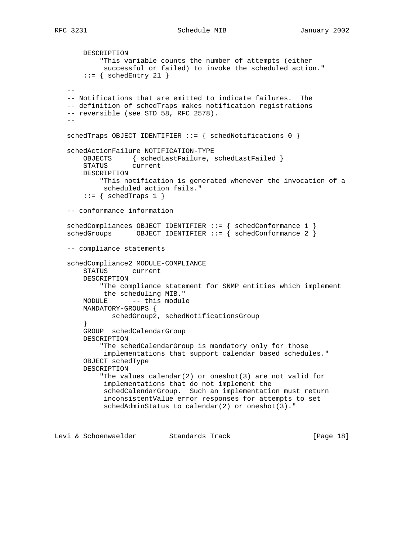```
 DESCRIPTION
         "This variable counts the number of attempts (either
          successful or failed) to invoke the scheduled action."
    ::= { schedEntry 21 }
- -- Notifications that are emitted to indicate failures. The
 -- definition of schedTraps makes notification registrations
 -- reversible (see STD 58, RFC 2578).
-schedTraps OBJECT IDENTIFIER ::= { schedNotifications 0 }
 schedActionFailure NOTIFICATION-TYPE
     OBJECTS { schedLastFailure, schedLastFailed }
     STATUS current
     DESCRIPTION
         "This notification is generated whenever the invocation of a
         scheduled action fails."
    ::= { schedTraps 1 }
 -- conformance information
schedCompliances OBJECT IDENTIFIER ::= { schedConformance 1 }
schedGroups 0BJECT IDENTIFIER ::= \int schedConformance 2 \int -- compliance statements
 schedCompliance2 MODULE-COMPLIANCE
     STATUS current
     DESCRIPTION
         "The compliance statement for SNMP entities which implement
         the scheduling MIB."
     MODULE -- this module
     MANDATORY-GROUPS {
           schedGroup2, schedNotificationsGroup
     }
     GROUP schedCalendarGroup
     DESCRIPTION
         "The schedCalendarGroup is mandatory only for those
          implementations that support calendar based schedules."
     OBJECT schedType
     DESCRIPTION
        "The values calendar(2) or oneshot(3) are not valid for
          implementations that do not implement the
          schedCalendarGroup. Such an implementation must return
          inconsistentValue error responses for attempts to set
          schedAdminStatus to calendar(2) or oneshot(3)."
```
Levi & Schoenwaelder Standards Track [Page 18]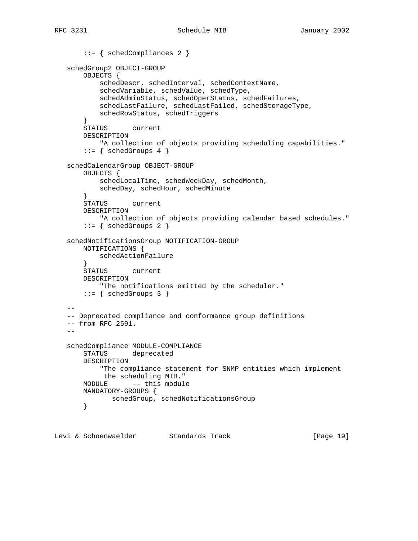```
 ::= { schedCompliances 2 }
   schedGroup2 OBJECT-GROUP
       OBJECTS {
           schedDescr, schedInterval, schedContextName,
           schedVariable, schedValue, schedType,
           schedAdminStatus, schedOperStatus, schedFailures,
           schedLastFailure, schedLastFailed, schedStorageType,
           schedRowStatus, schedTriggers
        }
       STATUS current
       DESCRIPTION
           "A collection of objects providing scheduling capabilities."
       ::= \{ \text{schedGroups } 4 \} schedCalendarGroup OBJECT-GROUP
       OBJECTS {
           schedLocalTime, schedWeekDay, schedMonth,
           schedDay, schedHour, schedMinute
 }
       STATUS current
       DESCRIPTION
           "A collection of objects providing calendar based schedules."
        ::= { schedGroups 2 }
   schedNotificationsGroup NOTIFICATION-GROUP
       NOTIFICATIONS {
           schedActionFailure
       }
       STATUS current
       DESCRIPTION
           "The notifications emitted by the scheduler."
      ::= { schedGroups 3 }
 --
   -- Deprecated compliance and conformance group definitions
   -- from RFC 2591.
 --
   schedCompliance MODULE-COMPLIANCE
       STATUS deprecated
       DESCRIPTION
           "The compliance statement for SNMP entities which implement
            the scheduling MIB."
       MODULE -- this module
       MANDATORY-GROUPS {
             schedGroup, schedNotificationsGroup
       }
```
Levi & Schoenwaelder Standards Track [Page 19]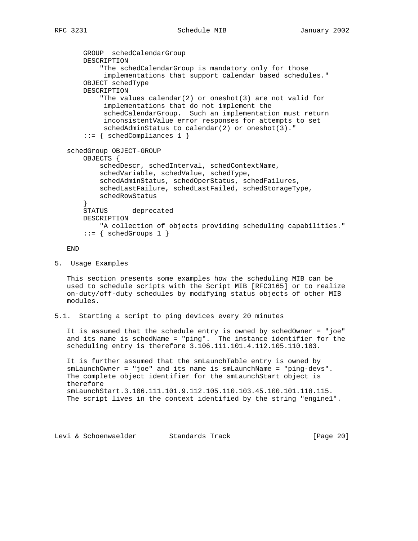```
 GROUP schedCalendarGroup
     DESCRIPTION
         "The schedCalendarGroup is mandatory only for those
          implementations that support calendar based schedules."
     OBJECT schedType
     DESCRIPTION
         "The values calendar(2) or oneshot(3) are not valid for
          implementations that do not implement the
          schedCalendarGroup. Such an implementation must return
          inconsistentValue error responses for attempts to set
          schedAdminStatus to calendar(2) or oneshot(3)."
     ::= { schedCompliances 1 }
 schedGroup OBJECT-GROUP
     OBJECTS {
         schedDescr, schedInterval, schedContextName,
         schedVariable, schedValue, schedType,
         schedAdminStatus, schedOperStatus, schedFailures,
         schedLastFailure, schedLastFailed, schedStorageType,
         schedRowStatus
     }
     STATUS deprecated
     DESCRIPTION
        "A collection of objects providing scheduling capabilities."
    ::= { schedGroups 1 }
```
END

5. Usage Examples

 This section presents some examples how the scheduling MIB can be used to schedule scripts with the Script MIB [RFC3165] or to realize on-duty/off-duty schedules by modifying status objects of other MIB modules.

5.1. Starting a script to ping devices every 20 minutes

 It is assumed that the schedule entry is owned by schedOwner = "joe" and its name is schedName = "ping". The instance identifier for the scheduling entry is therefore 3.106.111.101.4.112.105.110.103.

 It is further assumed that the smLaunchTable entry is owned by smLaunchOwner = "joe" and its name is smLaunchName = "ping-devs". The complete object identifier for the smLaunchStart object is therefore smLaunchStart.3.106.111.101.9.112.105.110.103.45.100.101.118.115. The script lives in the context identified by the string "engine1".

Levi & Schoenwaelder Standards Track [Page 20]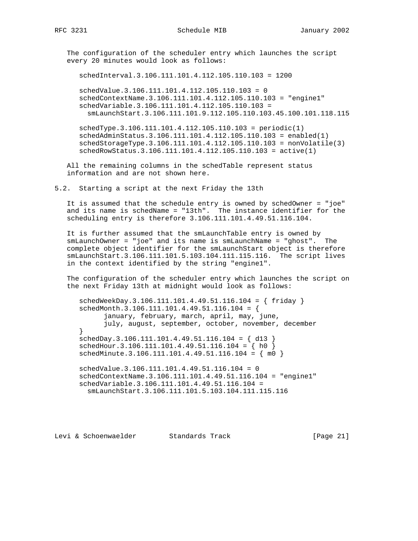The configuration of the scheduler entry which launches the script every 20 minutes would look as follows:

schedInterval.3.106.111.101.4.112.105.110.103 = 1200

 schedValue.3.106.111.101.4.112.105.110.103 = 0 schedContextName.3.106.111.101.4.112.105.110.103 = "engine1" schedVariable.3.106.111.101.4.112.105.110.103 = smLaunchStart.3.106.111.101.9.112.105.110.103.45.100.101.118.115

 schedType.3.106.111.101.4.112.105.110.103 = periodic(1) schedAdminStatus.3.106.111.101.4.112.105.110.103 = enabled(1) schedStorageType.3.106.111.101.4.112.105.110.103 = nonVolatile(3) schedRowStatus.3.106.111.101.4.112.105.110.103 = active(1)

 All the remaining columns in the schedTable represent status information and are not shown here.

5.2. Starting a script at the next Friday the 13th

 It is assumed that the schedule entry is owned by schedOwner = "joe" and its name is schedName = "13th". The instance identifier for the scheduling entry is therefore 3.106.111.101.4.49.51.116.104.

 It is further assumed that the smLaunchTable entry is owned by smLaunchOwner = "joe" and its name is smLaunchName = "ghost". The complete object identifier for the smLaunchStart object is therefore smLaunchStart.3.106.111.101.5.103.104.111.115.116. The script lives in the context identified by the string "engine1".

 The configuration of the scheduler entry which launches the script on the next Friday 13th at midnight would look as follows:

 schedWeekDay.3.106.111.101.4.49.51.116.104 = { friday } schedMonth.3.106.111.101.4.49.51.116.104 = { january, february, march, april, may, june, july, august, september, october, november, december }  $schedDay.3.106.111.101.4.49.51.116.104 = \{ d13 \}$  schedHour.3.106.111.101.4.49.51.116.104 = { h0 } schedMinute.3.106.111.101.4.49.51.116.104 = { m0 } schedValue.3.106.111.101.4.49.51.116.104 = 0 schedContextName.3.106.111.101.4.49.51.116.104 = "engine1" schedVariable.3.106.111.101.4.49.51.116.104 =

smLaunchStart.3.106.111.101.5.103.104.111.115.116

Levi & Schoenwaelder Standards Track [Page 21]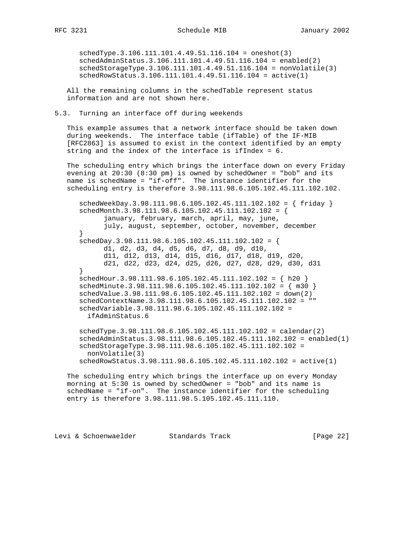schedType.3.106.111.101.4.49.51.116.104 = oneshot(3) schedAdminStatus.3.106.111.101.4.49.51.116.104 = enabled(2) schedStorageType.3.106.111.101.4.49.51.116.104 = nonVolatile(3) schedRowStatus.3.106.111.101.4.49.51.116.104 = active(1)

 All the remaining columns in the schedTable represent status information and are not shown here.

5.3. Turning an interface off during weekends

 This example assumes that a network interface should be taken down during weekends. The interface table (ifTable) of the IF-MIB [RFC2863] is assumed to exist in the context identified by an empty string and the index of the interface is ifIndex = 6.

 The scheduling entry which brings the interface down on every Friday evening at 20:30 (8:30 pm) is owned by schedOwner = "bob" and its name is schedName = "if-off". The instance identifier for the scheduling entry is therefore 3.98.111.98.6.105.102.45.111.102.102.

 schedWeekDay.3.98.111.98.6.105.102.45.111.102.102 = { friday } schedMonth.3.98.111.98.6.105.102.45.111.102.102 = { january, february, march, april, may, june, july, august, september, october, november, december }  $schedDay.3.98.111.98.6.105.102.45.111.102.102 =$  d1, d2, d3, d4, d5, d6, d7, d8, d9, d10, d11, d12, d13, d14, d15, d16, d17, d18, d19, d20, d21, d22, d23, d24, d25, d26, d27, d28, d29, d30, d31 } schedHour.3.98.111.98.6.105.102.45.111.102.102 = { h20 } schedMinute.3.98.111.98.6.105.102.45.111.102.102 =  $\{ m30 \}$  schedValue.3.98.111.98.6.105.102.45.111.102.102 = down(2) schedContextName.3.98.111.98.6.105.102.45.111.102.102 = "" schedVariable.3.98.111.98.6.105.102.45.111.102.102 = ifAdminStatus.6 schedType.3.98.111.98.6.105.102.45.111.102.102 = calendar(2) schedAdminStatus.3.98.111.98.6.105.102.45.111.102.102 = enabled(1) schedStorageType.3.98.111.98.6.105.102.45.111.102.102 = nonVolatile(3) schedRowStatus.3.98.111.98.6.105.102.45.111.102.102 = active(1)

 The scheduling entry which brings the interface up on every Monday morning at 5:30 is owned by schedOwner = "bob" and its name is schedName = "if-on". The instance identifier for the scheduling entry is therefore 3.98.111.98.5.105.102.45.111.110.

Levi & Schoenwaelder Standards Track [Page 22]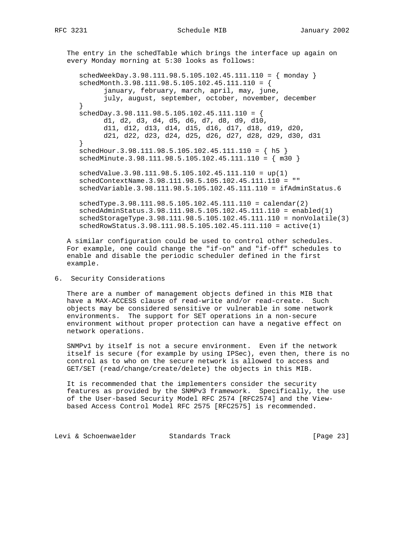The entry in the schedTable which brings the interface up again on every Monday morning at 5:30 looks as follows:

 schedWeekDay.3.98.111.98.5.105.102.45.111.110 = { monday } schedMonth.3.98.111.98.5.105.102.45.111.110 = { january, february, march, april, may, june, july, august, september, october, november, december }  $schedDay.3.98.111.98.5.105.102.45.111.110 =$  d1, d2, d3, d4, d5, d6, d7, d8, d9, d10, d11, d12, d13, d14, d15, d16, d17, d18, d19, d20, d21, d22, d23, d24, d25, d26, d27, d28, d29, d30, d31 } schedHour.3.98.111.98.5.105.102.45.111.110 = { h5 } schedMinute.3.98.111.98.5.105.102.45.111.110 = { m30 } schedValue.3.98.111.98.5.105.102.45.111.110 = up(1)

 schedContextName.3.98.111.98.5.105.102.45.111.110 = "" schedVariable.3.98.111.98.5.105.102.45.111.110 = ifAdminStatus.6

 schedType.3.98.111.98.5.105.102.45.111.110 = calendar(2) schedAdminStatus.3.98.111.98.5.105.102.45.111.110 = enabled(1) schedStorageType.3.98.111.98.5.105.102.45.111.110 = nonVolatile(3) schedRowStatus.3.98.111.98.5.105.102.45.111.110 = active(1)

 A similar configuration could be used to control other schedules. For example, one could change the "if-on" and "if-off" schedules to enable and disable the periodic scheduler defined in the first example.

#### 6. Security Considerations

 There are a number of management objects defined in this MIB that have a MAX-ACCESS clause of read-write and/or read-create. Such objects may be considered sensitive or vulnerable in some network environments. The support for SET operations in a non-secure environment without proper protection can have a negative effect on network operations.

 SNMPv1 by itself is not a secure environment. Even if the network itself is secure (for example by using IPSec), even then, there is no control as to who on the secure network is allowed to access and GET/SET (read/change/create/delete) the objects in this MIB.

 It is recommended that the implementers consider the security features as provided by the SNMPv3 framework. Specifically, the use of the User-based Security Model RFC 2574 [RFC2574] and the View based Access Control Model RFC 2575 [RFC2575] is recommended.

Levi & Schoenwaelder Standards Track [Page 23]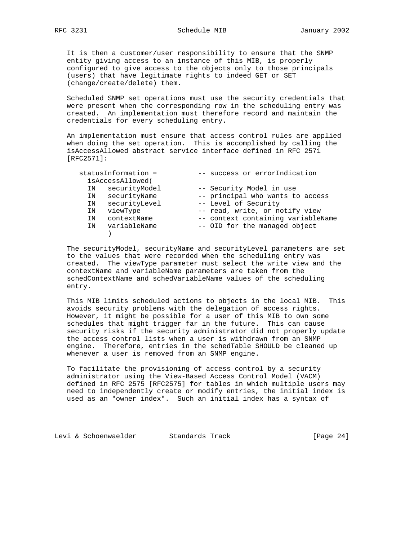It is then a customer/user responsibility to ensure that the SNMP entity giving access to an instance of this MIB, is properly configured to give access to the objects only to those principals (users) that have legitimate rights to indeed GET or SET (change/create/delete) them.

 Scheduled SNMP set operations must use the security credentials that were present when the corresponding row in the scheduling entry was created. An implementation must therefore record and maintain the credentials for every scheduling entry.

 An implementation must ensure that access control rules are applied when doing the set operation. This is accomplished by calling the isAccessAllowed abstract service interface defined in RFC 2571 [RFC2571]:

|    | statusInformation = | -- success or errorIndication      |
|----|---------------------|------------------------------------|
|    | isAccessAllowed(    |                                    |
| ΙN | securityModel       | -- Security Model in use           |
| ΙN | securityName        | -- principal who wants to access   |
| ΙN | securityLevel       | -- Level of Security               |
| ΙN | viewType            | -- read, write, or notify view     |
| ΙN | contextName         | -- context containing variableName |
| ΙN | variableName        | -- OID for the managed object      |
|    |                     |                                    |

 The securityModel, securityName and securityLevel parameters are set to the values that were recorded when the scheduling entry was created. The viewType parameter must select the write view and the contextName and variableName parameters are taken from the schedContextName and schedVariableName values of the scheduling entry.

 This MIB limits scheduled actions to objects in the local MIB. This avoids security problems with the delegation of access rights. However, it might be possible for a user of this MIB to own some schedules that might trigger far in the future. This can cause security risks if the security administrator did not properly update the access control lists when a user is withdrawn from an SNMP engine. Therefore, entries in the schedTable SHOULD be cleaned up whenever a user is removed from an SNMP engine.

 To facilitate the provisioning of access control by a security administrator using the View-Based Access Control Model (VACM) defined in RFC 2575 [RFC2575] for tables in which multiple users may need to independently create or modify entries, the initial index is used as an "owner index". Such an initial index has a syntax of

Levi & Schoenwaelder Standards Track [Page 24]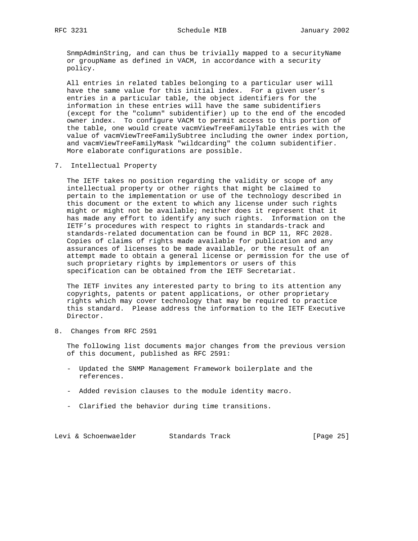SnmpAdminString, and can thus be trivially mapped to a securityName or groupName as defined in VACM, in accordance with a security policy.

 All entries in related tables belonging to a particular user will have the same value for this initial index. For a given user's entries in a particular table, the object identifiers for the information in these entries will have the same subidentifiers (except for the "column" subidentifier) up to the end of the encoded owner index. To configure VACM to permit access to this portion of the table, one would create vacmViewTreeFamilyTable entries with the value of vacmViewTreeFamilySubtree including the owner index portion, and vacmViewTreeFamilyMask "wildcarding" the column subidentifier. More elaborate configurations are possible.

7. Intellectual Property

 The IETF takes no position regarding the validity or scope of any intellectual property or other rights that might be claimed to pertain to the implementation or use of the technology described in this document or the extent to which any license under such rights might or might not be available; neither does it represent that it has made any effort to identify any such rights. Information on the IETF's procedures with respect to rights in standards-track and standards-related documentation can be found in BCP 11, RFC 2028. Copies of claims of rights made available for publication and any assurances of licenses to be made available, or the result of an attempt made to obtain a general license or permission for the use of such proprietary rights by implementors or users of this specification can be obtained from the IETF Secretariat.

 The IETF invites any interested party to bring to its attention any copyrights, patents or patent applications, or other proprietary rights which may cover technology that may be required to practice this standard. Please address the information to the IETF Executive Director.

8. Changes from RFC 2591

 The following list documents major changes from the previous version of this document, published as RFC 2591:

- Updated the SNMP Management Framework boilerplate and the references.
- Added revision clauses to the module identity macro.
- Clarified the behavior during time transitions.

Levi & Schoenwaelder Standards Track [Page 25]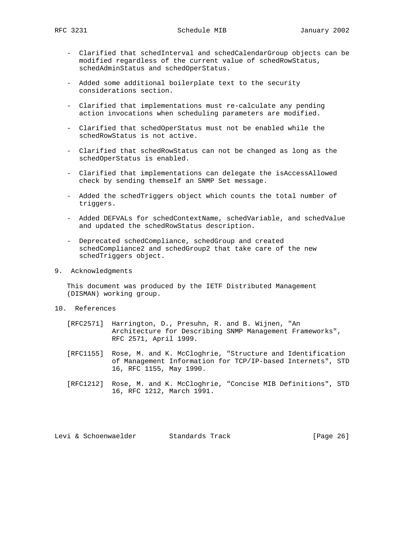- Clarified that schedInterval and schedCalendarGroup objects can be modified regardless of the current value of schedRowStatus, schedAdminStatus and schedOperStatus.
- Added some additional boilerplate text to the security considerations section.
- Clarified that implementations must re-calculate any pending action invocations when scheduling parameters are modified.
- Clarified that schedOperStatus must not be enabled while the schedRowStatus is not active.
- Clarified that schedRowStatus can not be changed as long as the schedOperStatus is enabled.
- Clarified that implementations can delegate the isAccessAllowed check by sending themself an SNMP Set message.
- Added the schedTriggers object which counts the total number of triggers.
- Added DEFVALs for schedContextName, schedVariable, and schedValue and updated the schedRowStatus description.
- Deprecated schedCompliance, schedGroup and created schedCompliance2 and schedGroup2 that take care of the new schedTriggers object.
- 9. Acknowledgments

 This document was produced by the IETF Distributed Management (DISMAN) working group.

- 10. References
	- [RFC2571] Harrington, D., Presuhn, R. and B. Wijnen, "An Architecture for Describing SNMP Management Frameworks", RFC 2571, April 1999.
	- [RFC1155] Rose, M. and K. McCloghrie, "Structure and Identification of Management Information for TCP/IP-based Internets", STD 16, RFC 1155, May 1990.
	- [RFC1212] Rose, M. and K. McCloghrie, "Concise MIB Definitions", STD 16, RFC 1212, March 1991.

Levi & Schoenwaelder Standards Track [Page 26]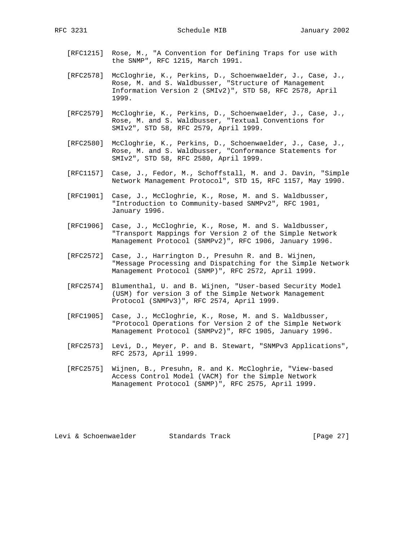- [RFC1215] Rose, M., "A Convention for Defining Traps for use with the SNMP", RFC 1215, March 1991.
- [RFC2578] McCloghrie, K., Perkins, D., Schoenwaelder, J., Case, J., Rose, M. and S. Waldbusser, "Structure of Management Information Version 2 (SMIv2)", STD 58, RFC 2578, April 1999.
- [RFC2579] McCloghrie, K., Perkins, D., Schoenwaelder, J., Case, J., Rose, M. and S. Waldbusser, "Textual Conventions for SMIv2", STD 58, RFC 2579, April 1999.
- [RFC2580] McCloghrie, K., Perkins, D., Schoenwaelder, J., Case, J., Rose, M. and S. Waldbusser, "Conformance Statements for SMIv2", STD 58, RFC 2580, April 1999.
- [RFC1157] Case, J., Fedor, M., Schoffstall, M. and J. Davin, "Simple Network Management Protocol", STD 15, RFC 1157, May 1990.
- [RFC1901] Case, J., McCloghrie, K., Rose, M. and S. Waldbusser, "Introduction to Community-based SNMPv2", RFC 1901, January 1996.
- [RFC1906] Case, J., McCloghrie, K., Rose, M. and S. Waldbusser, "Transport Mappings for Version 2 of the Simple Network Management Protocol (SNMPv2)", RFC 1906, January 1996.
- [RFC2572] Case, J., Harrington D., Presuhn R. and B. Wijnen, "Message Processing and Dispatching for the Simple Network Management Protocol (SNMP)", RFC 2572, April 1999.
- [RFC2574] Blumenthal, U. and B. Wijnen, "User-based Security Model (USM) for version 3 of the Simple Network Management Protocol (SNMPv3)", RFC 2574, April 1999.
- [RFC1905] Case, J., McCloghrie, K., Rose, M. and S. Waldbusser, "Protocol Operations for Version 2 of the Simple Network Management Protocol (SNMPv2)", RFC 1905, January 1996.
- [RFC2573] Levi, D., Meyer, P. and B. Stewart, "SNMPv3 Applications", RFC 2573, April 1999.
- [RFC2575] Wijnen, B., Presuhn, R. and K. McCloghrie, "View-based Access Control Model (VACM) for the Simple Network Management Protocol (SNMP)", RFC 2575, April 1999.

Levi & Schoenwaelder Standards Track [Page 27]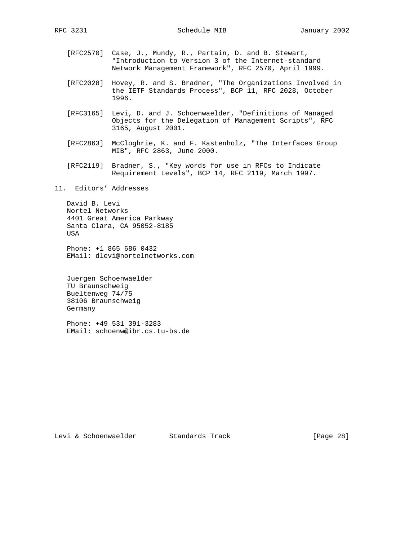- [RFC2570] Case, J., Mundy, R., Partain, D. and B. Stewart, "Introduction to Version 3 of the Internet-standard Network Management Framework", RFC 2570, April 1999.
- [RFC2028] Hovey, R. and S. Bradner, "The Organizations Involved in the IETF Standards Process", BCP 11, RFC 2028, October 1996.
- [RFC3165] Levi, D. and J. Schoenwaelder, "Definitions of Managed Objects for the Delegation of Management Scripts", RFC 3165, August 2001.
- [RFC2863] McCloghrie, K. and F. Kastenholz, "The Interfaces Group MIB", RFC 2863, June 2000.
- [RFC2119] Bradner, S., "Key words for use in RFCs to Indicate Requirement Levels", BCP 14, RFC 2119, March 1997.

11. Editors' Addresses

 David B. Levi Nortel Networks 4401 Great America Parkway Santa Clara, CA 95052-8185 USA

 Phone: +1 865 686 0432 EMail: dlevi@nortelnetworks.com

 Juergen Schoenwaelder TU Braunschweig Bueltenweg 74/75 38106 Braunschweig Germany

 Phone: +49 531 391-3283 EMail: schoenw@ibr.cs.tu-bs.de

Levi & Schoenwaelder Standards Track [Page 28]